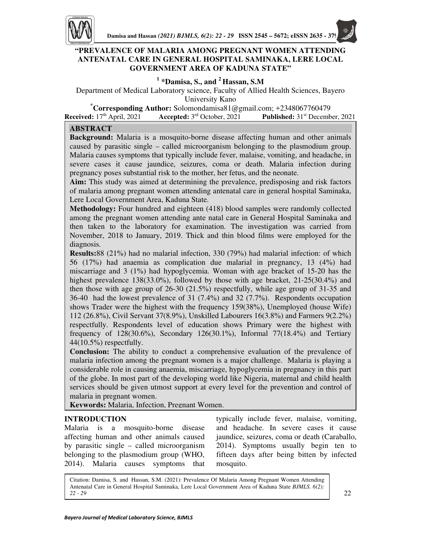

# **"PREVALENCE OF MALARIA AMONG PREGNANT WOMEN ATTENDING ANTENATAL CARE IN GENERAL HOSPITAL SAMINAKA, LERE LOCAL GOVERNMENT AREA OF KADUNA STATE"**

# **1 \*Damisa, S., and <sup>2</sup>Hassan, S.M**

Department of Medical Laboratory science, Faculty of Allied Health Sciences, Bayero University Kano

**\*Corresponding Author:** Solomondamisa81@gmail.com; +2348067760479

**Received:** 17th April, 2021 **Accepted:** 3rd October, 2021 **Published:** 31st December, 2021

## **ABSTRACT**

**Background:** Malaria is a mosquito-borne disease affecting human and other animals caused by parasitic single – called microorganism belonging to the plasmodium group. Malaria causes symptoms that typically include fever, malaise, vomiting, and headache, in severe cases it cause jaundice, seizures, coma or death. Malaria infection during pregnancy poses substantial risk to the mother, her fetus, and the neonate.

**Aim:** This study was aimed at determining the prevalence, predisposing and risk factors of malaria among pregnant women attending antenatal care in general hospital Saminaka, Lere Local Government Area, Kaduna State.

**Methodology:** Four hundred and eighteen (418) blood samples were randomly collected among the pregnant women attending ante natal care in General Hospital Saminaka and then taken to the laboratory for examination. The investigation was carried from November, 2018 to January, 2019. Thick and thin blood films were employed for the diagnosis.

**Results:**88 (21%) had no malarial infection, 330 (79%) had malarial infection: of which 56 (17%) had anaemia as complication due malarial in pregnancy, 13 (4%) had miscarriage and 3 (1%) had hypoglycemia. Woman with age bracket of 15-20 has the highest prevalence 138(33.0%), followed by those with age bracket,  $21-25(30.4%)$  and then those with age group of 26-30 (21.5%) respectfully, while age group of 31-35 and 36-40 had the lowest prevalence of 31 (7.4%) and 32 (7.7%). Respondents occupation shows Trader were the highest with the frequency 159(38%), Unemployed (house Wife) 112 (26.8%), Civil Servant 37(8.9%), Unskilled Labourers 16(3.8%) and Farmers 9(2.2%) respectfully. Respondents level of education shows Primary were the highest with frequency of 128(30.6%), Secondary 126(30.1%), Informal 77(18.4%) and Tertiary 44(10.5%) respectfully.

**Conclusion:** The ability to conduct a comprehensive evaluation of the prevalence of malaria infection among the pregnant women is a major challenge. Malaria is playing a considerable role in causing anaemia, miscarriage, hypoglycemia in pregnancy in this part of the globe. In most part of the developing world like Nigeria, maternal and child health services should be given utmost support at every level for the prevention and control of malaria in pregnant women.

**Keywords:** Malaria, Infection, Pregnant Women.

## **INTRODUCTION**

г<br>Г

Malaria is a mosquito-borne disease affecting human and other animals caused by parasitic single – called microorganism belonging to the plasmodium group (WHO, 2014). Malaria causes symptoms that

typically include fever, malaise, vomiting, and headache. In severe cases it cause jaundice, seizures, coma or death (Caraballo, 2014). Symptoms usually begin ten to fifteen days after being bitten by infected mosquito.

Citation: Damisa, S. and Hassan, S.M. (2021): Prevalence Of Malaria Among Pregnant Women Attending Antenatal Care in General Hospital Saminaka, Lere Local Government Area of Kaduna State *BJMLS. 6(2): 22 - 29* 22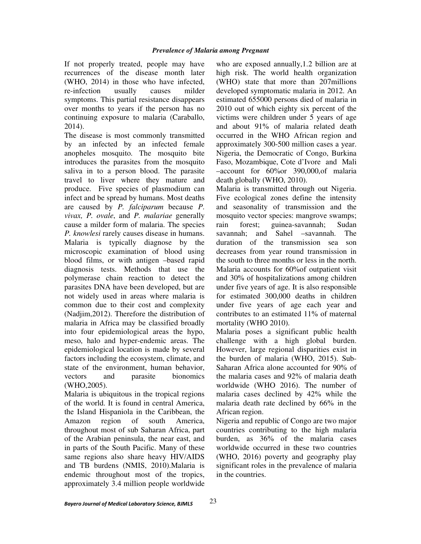If not properly treated, people may have recurrences of the disease month later (WHO, 2014) in those who have infected, re-infection usually causes milder symptoms. This partial resistance disappears over months to years if the person has no continuing exposure to malaria (Caraballo, 2014).

The disease is most commonly transmitted by an infected by an infected female anopheles mosquito. The mosquito bite introduces the parasites from the mosquito saliva in to a person blood. The parasite travel to liver where they mature and produce. Five species of plasmodium can infect and be spread by humans. Most deaths are caused by *P. falciparum* because *P*. *vivax, P. ovale*, and *P. malariae* generally cause a milder form of malaria. The species *P. knowlesi* rarely causes disease in humans. Malaria is typically diagnose by the microscopic examination of blood using blood films, or with antigen –based rapid diagnosis tests. Methods that use the polymerase chain reaction to detect the parasites DNA have been developed, but are not widely used in areas where malaria is common due to their cost and complexity (Nadjim,2012). Therefore the distribution of malaria in Africa may be classified broadly into four epidemiological areas the hypo, meso, halo and hyper-endemic areas. The epidemiological location is made by several factors including the ecosystem, climate, and state of the environment, human behavior, vectors and parasite bionomics (WHO,2005).

Malaria is ubiquitous in the tropical regions of the world. It is found in central America, the Island Hispaniola in the Caribbean, the Amazon region of south America, throughout most of sub Saharan Africa, part of the Arabian peninsula, the near east, and in parts of the South Pacific. Many of these same regions also share heavy HIV/AIDS and TB burdens (NMIS, 2010).Malaria is endemic throughout most of the tropics, approximately 3.4 million people worldwide who are exposed annually,1.2 billion are at high risk. The world health organization (WHO) state that more than 207millions developed symptomatic malaria in 2012. An estimated 655000 persons died of malaria in 2010 out of which eighty six percent of the victims were children under 5 years of age and about 91% of malaria related death occurred in the WHO African region and approximately 300-500 million cases a year. Nigeria, the Democratic of Congo, Burkina Faso, Mozambique, Cote d'Ivore and Mali –account for 60%or 390,000,of malaria death globally (WHO, 2010).

Malaria is transmitted through out Nigeria. Five ecological zones define the intensity and seasonality of transmission and the mosquito vector species: mangrove swamps; rain forest; guinea-savannah; Sudan savannah; and Sahel –savannah. The duration of the transmission sea son decreases from year round transmission in the south to three months or less in the north. Malaria accounts for 60%of outpatient visit and 30% of hospitalizations among children under five years of age. It is also responsible for estimated 300,000 deaths in children under five years of age each year and contributes to an estimated 11% of maternal mortality (WHO 2010).

Malaria poses a significant public health challenge with a high global burden. However, large regional disparities exist in the burden of malaria (WHO, 2015). Sub-Saharan Africa alone accounted for 90% of the malaria cases and 92% of malaria death worldwide (WHO 2016). The number of malaria cases declined by 42% while the malaria death rate declined by 66% in the African region.

Nigeria and republic of Congo are two major countries contributing to the high malaria burden, as 36% of the malaria cases worldwide occurred in these two countries (WHO, 2016) poverty and geography play significant roles in the prevalence of malaria in the countries.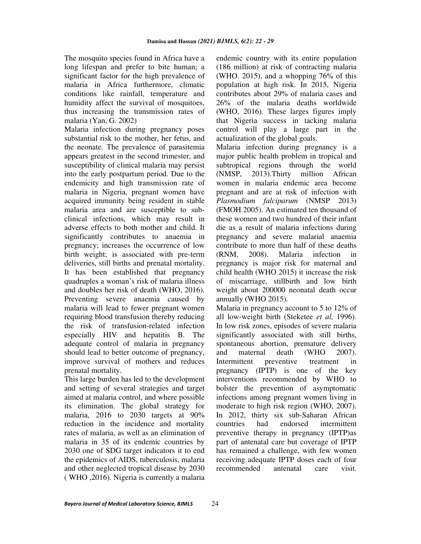The mosquito species found in Africa have a long lifespan and prefer to bite human; a significant factor for the high prevalence of malaria in Africa furthermore, climatic conditions like rainfall, temperature and humidity affect the survival of mosquitoes, thus increasing the transmission rates of malaria (Yan, G. 2002)

Malaria infection during pregnancy poses substantial risk to the mother, her fetus, and the neonate. The prevalence of parasitemia appears greatest in the second trimester, and susceptibility of clinical malaria may persist into the early postpartum period. Due to the endemicity and high transmission rate of malaria in Nigeria, pregnant women have acquired immunity being resident in stable malaria area and are susceptible to subclinical infections, which may result in adverse effects to both mother and child. It significantly contributes to anaemia in pregnancy; increases the occurrence of low birth weight; is associated with pre-term deliveries, still births and prenatal mortality. It has been established that pregnancy quadruples a woman's risk of malaria illness and doubles her risk of death (WHO, 2016). Preventing severe anaemia caused by malaria will lead to fewer pregnant women requiring blood transfusion thereby reducing the risk of transfusion-related infection especially HIV and hepatitis B. The adequate control of malaria in pregnancy should lead to better outcome of pregnancy, improve survival of mothers and reduces prenatal mortality.

This large burden has led to the development and setting of several strategies and target aimed at malaria control, and where possible its elimination. The global strategy for malaria, 2016 to 2030 targets at 90% reduction in the incidence and mortality rates of malaria, as well as an elimination of malaria in 35 of its endemic countries by 2030 one of SDG target indicators it to end the epidemics of AIDS, tuberculosis, malaria and other neglected tropical disease by 2030 ( WHO ,2016). Nigeria is currently a malaria

endemic country with its entire population (186 million) at risk of contracting malaria (WHO. 2015), and a whopping 76% of this population at high risk. In 2015, Nigeria contributes about 29% of malaria cases and 26% of the malaria deaths worldwide (WHO, 2016). These larges figures imply that Nigeria success in tacking malaria control will play a large part in the actualization of the global goals.

Malaria infection during pregnancy is a major public health problem in tropical and subtropical regions through the world (NMSP, 2013).Thirty million African women in malaria endemic area become pregnant and are at risk of infection with *Plasmodium falciparum* (NMSP 2013) (FMOH 2005). An estimated ten thousand of these women and two hundred of their infant die as a result of malaria infections during pregnancy and severe malarial anaemia contribute to more than half of these deaths (RNM, 2008). Malaria infection in pregnancy is major risk for maternal and child health (WHO 2015) it increase the risk of miscarriage, stillbirth and low birth weight about 200000 neonatal death occur annually (WHO 2015).

Malaria in pregnancy account to 5 to 12% of all low-weight birth (Steketee *et al,* 1996). In low risk zones, episodes of severe malaria significantly associated with still births, spontaneous abortion, premature delivery and maternal death (WHO 2007). Intermittent preventive treatment in pregnancy (IPTP) is one of the key interventions recommended by WHO to bolster the prevention of asymptomatic infections among pregnant women living in moderate to high risk region (WHO, 2007). In 2012, thirty six sub-Saharan African countries had endorsed intermittent preventive therapy in pregnancy (IPTP)as part of antenatal care but coverage of IPTP has remained a challenge, with few women receiving adequate IPTP doses each of four recommended antenatal care visit.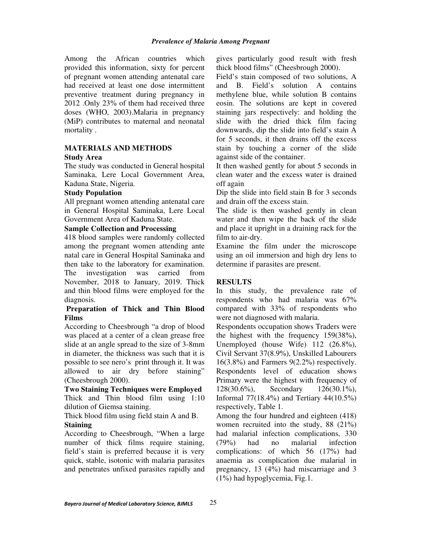Among the African countries which provided this information, sixty for percent of pregnant women attending antenatal care had received at least one dose intermittent preventive treatment during pregnancy in 2012 .Only 23% of them had received three doses (WHO, 2003).Malaria in pregnancy (MiP) contributes to maternal and neonatal mortality .

#### **MATERIALS AND METHODS Study Area**

The study was conducted in General hospital Saminaka, Lere Local Government Area, Kaduna State, Nigeria.

### **Study Population**

All pregnant women attending antenatal care in General Hospital Saminaka, Lere Local Government Area of Kaduna State.

### **Sample Collection and Processing**

418 blood samples were randomly collected among the pregnant women attending ante natal care in General Hospital Saminaka and then take to the laboratory for examination. The investigation was carried from November, 2018 to January, 2019. Thick and thin blood films were employed for the diagnosis.

### **Preparation of Thick and Thin Blood Films**

According to Cheesbrough "a drop of blood was placed at a center of a clean grease free slide at an angle spread to the size of 3-8mm in diameter, the thickness was such that it is possible to see nero's print through it. It was allowed to air dry before staining" (Cheesbrough 2000).

### **Two Staining Techniques were Employed**  Thick and Thin blood film using 1:10 dilution of Giemsa staining.

Thick blood film using field stain A and B.

### **Staining**

According to Cheesbrough, "When a large number of thick films require staining, field's stain is preferred because it is very quick, stable, isotonic with malaria parasites and penetrates unfixed parasites rapidly and gives particularly good result with fresh thick blood films" (Cheesbrough 2000).

Field's stain composed of two solutions, A and B. Field's solution A contains methylene blue, while solution B contains eosin. The solutions are kept in covered staining jars respectively: and holding the slide with the dried thick film facing downwards, dip the slide into field's stain A for 5 seconds, it then drains off the excess stain by touching a corner of the slide against side of the container.

It then washed gently for about 5 seconds in clean water and the excess water is drained off again

Dip the slide into field stain B for 3 seconds and drain off the excess stain.

The slide is then washed gently in clean water and then wipe the back of the slide and place it upright in a draining rack for the film to air-dry.

Examine the film under the microscope using an oil immersion and high dry lens to determine if parasites are present.

### **RESULTS**

In this study, the prevalence rate of respondents who had malaria was 67% compared with 33% of respondents who were not diagnosed with malaria.

Respondents occupation shows Traders were the highest with the frequency 159(38%), Unemployed (house Wife) 112 (26.8%), Civil Servant 37(8.9%), Unskilled Labourers 16(3.8%) and Farmers 9(2.2%) respectively. Respondents level of education shows Primary were the highest with frequency of 128(30.6%), Secondary 126(30.1%), Informal 77(18.4%) and Tertiary 44(10.5%) respectively, Table 1.

Among the four hundred and eighteen (418) women recruited into the study, 88 (21%) had malarial infection complications, 330 (79%) had no malarial infection complications: of which 56 (17%) had anaemia as complication due malarial in pregnancy, 13 (4%) had miscarriage and 3 (1%) had hypoglycemia, Fig.1.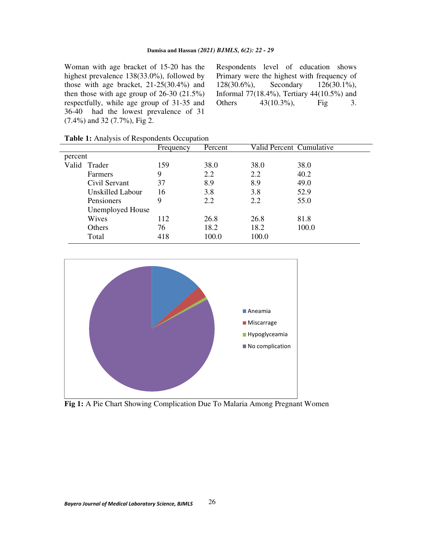Woman with age bracket of 15-20 has the highest prevalence 138(33.0%), followed by those with age bracket, 21-25(30.4%) and then those with age group of  $26-30$   $(21.5\%)$ respectfully, while age group of 31-35 and 36-40 had the lowest prevalence of 31 (7.4%) and 32 (7.7%), Fig 2.

Respondents level of education shows Primary were the highest with frequency of 128(30.6%), Secondary 126(30.1%), Informal 77(18.4%), Tertiary 44(10.5%) and Others  $43(10.3\%)$ , Fig 3.

| <b>Table 1:</b> Analysis of Respondents Occupation |
|----------------------------------------------------|
|----------------------------------------------------|

|         |                         | Frequency | Percent | Valid Percent Cumulative |       |
|---------|-------------------------|-----------|---------|--------------------------|-------|
| percent |                         |           |         |                          |       |
|         | Valid Trader            | 159       | 38.0    | 38.0                     | 38.0  |
|         | Farmers                 | 9         | 2.2     | 2.2                      | 40.2  |
|         | Civil Servant           | 37        | 8.9     | 8.9                      | 49.0  |
|         | <b>Unskilled Labour</b> | 16        | 3.8     | 3.8                      | 52.9  |
|         | Pensioners              | 9         | 2.2     | 2.2                      | 55.0  |
|         | <b>Unemployed House</b> |           |         |                          |       |
|         | Wives                   | 112       | 26.8    | 26.8                     | 81.8  |
|         | <b>Others</b>           | 76        | 18.2    | 18.2                     | 100.0 |
|         | Total                   | 418       | 100.0   | 100.0                    |       |
|         |                         |           |         |                          |       |



**Fig 1:** A Pie Chart Showing Complication Due To Malaria Among Pregnant Women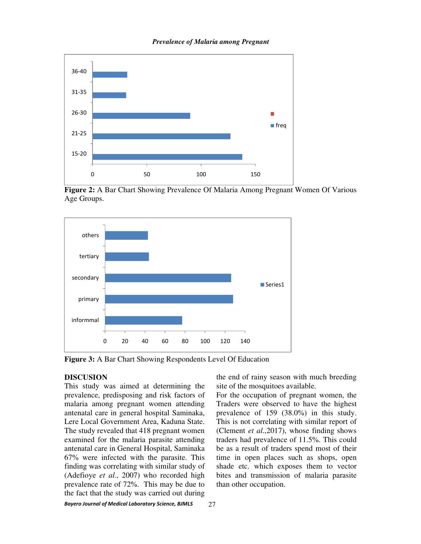

#### *Prevalence of Malaria among Pregnant*

**Figure 2:** A Bar Chart Showing Prevalence Of Malaria Among Pregnant Women Of Various Age Groups.



**Figure 3:** A Bar Chart Showing Respondents Level Of Education

#### **DISCUSION**

This study was aimed at determining the prevalence, predisposing and risk factors of malaria among pregnant women attending antenatal care in general hospital Saminaka, Lere Local Government Area, Kaduna State. The study revealed that 418 pregnant women examined for the malaria parasite attending antenatal care in General Hospital, Saminaka 67% were infected with the parasite. This finding was correlating with similar study of (Adefioye *et al*., 2007) who recorded high prevalence rate of 72%. This may be due to the fact that the study was carried out during

the end of rainy season with much breeding site of the mosquitoes available.

For the occupation of pregnant women, the Traders were observed to have the highest prevalence of 159 (38.0%) in this study. This is not correlating with similar report of (Clement *et al.*,2017), whose finding shows traders had prevalence of 11.5%. This could be as a result of traders spend most of their time in open places such as shops, open shade etc. which exposes them to vector bites and transmission of malaria parasite than other occupation.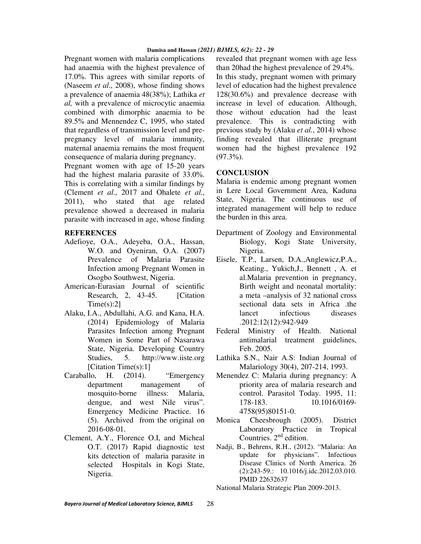#### **Damisa and Hassan** *(2021) BJMLS, 6(2): 22 - 29*

Pregnant women with malaria complications had anaemia with the highest prevalence of 17.0%. This agrees with similar reports of (Naseem *et al*., 2008), whose finding shows a prevalence of anaemia 48(38%); Lathika *et al,* with a prevalence of microcytic anaemia combined with dimorphic anaemia to be 89.5% and Mennendez C, 1995, who stated that regardless of transmission level and prepregnancy level of malaria immunity, maternal anaemia remains the most frequent consequence of malaria during pregnancy.

Pregnant women with age of 15-20 years had the highest malaria parasite of 33.0%. This is correlating with a similar findings by (Clement *et al*., 2017 and Ohalete *et al*., 2011), who stated that age related prevalence showed a decreased in malaria parasite with increased in age, whose finding

#### **REFERENCES**

- Adefioye, O.A., Adeyeba, O.A., Hassan, W.O. and Oyeniran, O.A. (2007) Prevalence of Malaria Parasite Infection among Pregnant Women in Osogbo Southwest, Nigeria.
- American-Eurasian Journal of scientific Research, 2, 43-45. [Citation]  $Time(s):2$ ]
- Alaku, I.A., Abdullahi, A.G. and Kana, H.A. (2014) Epidemiology of Malaria Parasites Infection among Pregnant Women in Some Part of Nasarawa State, Nigeria. Developing Country Studies, 5. http://www.iiste.org [Citation Time(s):1]
- Caraballo, H. **(**2014). "Emergency department management of mosquito-borne illness: Malaria, dengue, and west Nile virus". Emergency Medicine Practice. 16 (5). Archived from the original on 2016-08-01.
- Clement, A.Y., Florence O.I, and Micheal O.T. (2017) Rapid diagnostic test kits detection of malaria parasite in selected Hospitals in Kogi State, Nigeria.

revealed that pregnant women with age less than 20had the highest prevalence of 29.4%. In this study, pregnant women with primary level of education had the highest prevalence 128(30.6%) and prevalence decrease with increase in level of education. Although, those without education had the least prevalence. This is contradicting with previous study by (Alaku *et al.*, 2014) whose finding revealed that illiterate pregnant women had the highest prevalence 192  $(97.3\%)$ .

### **CONCLUSION**

Malaria is endemic among pregnant women in Lere Local Government Area, Kaduna State, Nigeria. The continuous use of integrated management will help to reduce the burden in this area.

- Department of Zoology and Environmental Biology, Kogi State University, Nigeria.
- Eisele, T.P., Larsen, D.A.,Anglewicz,P.A., Keating., Yukich,J., Bennett , A. et al.Malaria prevention in pregnancy, Birth weight and neonatal mortality: a meta –analysis of 32 national cross sectional data sets in Africa .the lancet infectious diseases .2012:12(12):942-949
- Federal Ministry of Health. National antimalarial treatment guidelines, Feb. 2005.
- Lathika S.N., Nair A.S: Indian Journal of Malariology 30(4), 207-214, 1993.
- Menendez C: Malaria during pregnancy: A priority area of malaria research and control. Parasitol Today. 1995, 11: 178-183. 10.1016/0169- 4758(95)80151-0.
- Monica Cheesbrough (2005). District Laboratory Practice in Tropical Countries.  $2<sup>nd</sup>$  edition.
- Nadji, B., Behrens, R.H., (2012). "Malaria: An update for physicians". Infectious Disease Clinics of North America. 26 (2):243-59.: 10.1016/j.idc.2012.03.010. PMID 22632637

National Malaria Strategic Plan 2009-2013.